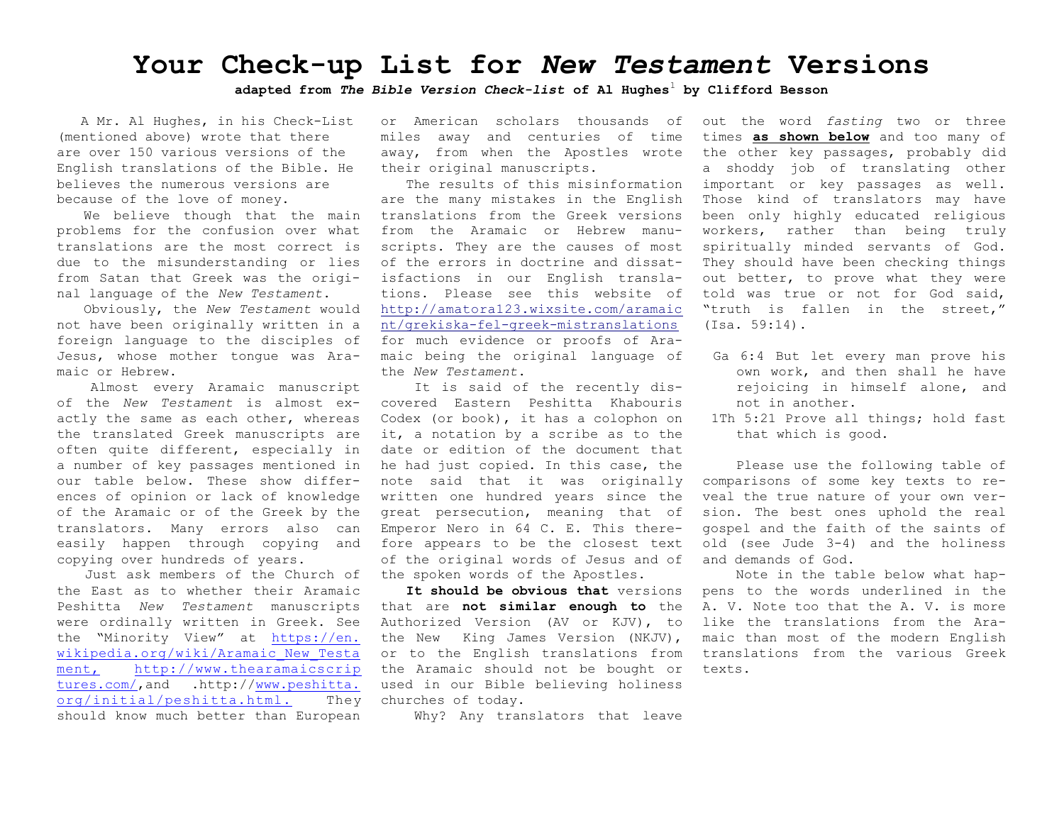## **Your Check-up List for** *New Testament* **Versions**

**adapted from** *The Bible Version Check-list* **of Al Hughes**<sup>1</sup> **by Clifford Besson**

 A Mr. Al Hughes, in his Check-List (mentioned above) wrote that there are over 150 various versions of the English translations of the Bible. He believes the numerous versions are because of the love of money.

We believe though that the main problems for the confusion over what translations are the most correct is due to the misunderstanding or lies from Satan that Greek was the original language of the *New Testament*.

Obviously, the *New Testament* would not have been originally written in a foreign language to the disciples of Jesus, whose mother tongue was Aramaic or Hebrew.

Almost every Aramaic manuscript of the *New Testament* is almost exactly the same as each other, whereas the translated Greek manuscripts are often quite different, especially in a number of key passages mentioned in our table below. These show differences of opinion or lack of knowledge of the Aramaic or of the Greek by the translators. Many errors also can easily happen through copying and copying over hundreds of years.

Just ask members of the Church of the East as to whether their Aramaic Peshitta *New Testament* manuscripts were ordinally written in Greek. See the "Minority View" at [https://en.](https://en.wikipedia.org/wiki/Aramaic_New_Testament;) [wikipedia.org/wiki/Aramaic\\_New\\_Testa](https://en.wikipedia.org/wiki/Aramaic_New_Testament;) [ment,](https://en.wikipedia.org/wiki/Aramaic_New_Testament;) [http://www.thearamaicscrip](http://www.thearamaicscriptures.com/) [tures.com/](http://www.thearamaicscriptures.com/),and .http:/[/www.peshitta.](http://www.peshitta.org/initial/peshitta.html) [org/initial/peshitta.html.](http://www.peshitta.org/initial/peshitta.html) They should know much better than European

or American scholars thousands of miles away and centuries of time away, from when the Apostles wrote their original manuscripts.

The results of this misinformation are the many mistakes in the English translations from the Greek versions from the Aramaic or Hebrew manuscripts. They are the causes of most of the errors in doctrine and dissatisfactions in our English translations. Please see this website of [http://amatora123.wixsite.com/aramaic](http://amatora123.wixsite.com/aramaicnt/grekiska-fel-greek-mistranslations) [nt/grekiska-fel-greek-mistranslations](http://amatora123.wixsite.com/aramaicnt/grekiska-fel-greek-mistranslations) for much evidence or proofs of Aramaic being the original language of the *New Testament*.

It is said of the recently discovered Eastern Peshitta Khabouris Codex (or book), it has a colophon on it, a notation by a scribe as to the date or edition of the document that he had just copied. In this case, the note said that it was originally written one hundred years since the great persecution, meaning that of Emperor Nero in 64 C. E. This therefore appears to be the closest text of the original words of Jesus and of the spoken words of the Apostles.

**It should be obvious that** versions that are **not similar enough to** the Authorized Version (AV or KJV), to the New King James Version (NKJV), or to the English translations from the Aramaic should not be bought or used in our Bible believing holiness churches of today.

Why? Any translators that leave

out the word *fasting* two or three times **as shown below** and too many of the other key passages, probably did a shoddy job of translating other important or key passages as well. Those kind of translators may have been only highly educated religious workers, rather than being truly spiritually minded servants of God. They should have been checking things out better, to prove what they were told was true or not for God said, "truth is fallen in the street," (Isa. 59:14).

- Ga 6:4 But let every man prove his own work, and then shall he have rejoicing in himself alone, and not in another.
- 1Th 5:21 Prove all things; hold fast that which is good.

Please use the following table of comparisons of some key texts to reveal the true nature of your own version. The best ones uphold the real gospel and the faith of the saints of old (see Jude 3-4) and the holiness and demands of God.

Note in the table below what happens to the words underlined in the A. V. Note too that the A. V. is more like the translations from the Aramaic than most of the modern English translations from the various Greek texts.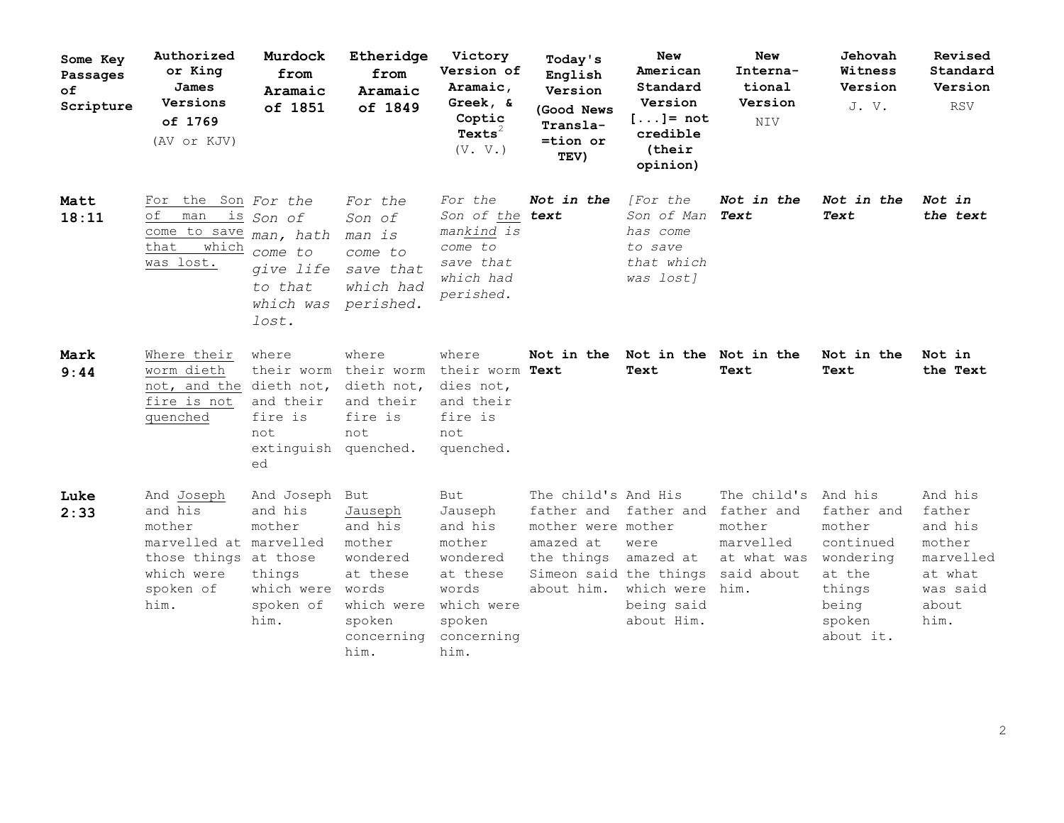| Some Key<br>Passages<br>оf<br>Scripture | Authorized<br>or King<br>James<br>Versions<br>of 1769<br>(AV or KJV)                                                  | Murdock<br>from<br>Aramaic<br>of 1851                                                        | Etheridge<br>from<br>Aramaic<br>of 1849                                                                            | Victory<br>Version of<br>Aramaic,<br>Greek, &<br>Coptic<br>$Texts^2$<br>(V. V.)                                           | Today's<br>English<br>Version<br>(Good News<br>Transla-<br>=tion or<br>TEV)                                                                      | New<br>American<br>Standard<br>Version<br>$[]= not$<br>credible<br>(their<br>opinion) | New<br>Interna-<br>tional<br>Version<br><b>NIV</b>                      | Jehovah<br>Witness<br>Version<br>J.V.                                                                         | Revised<br>Standard<br>Version<br><b>RSV</b>                                                |
|-----------------------------------------|-----------------------------------------------------------------------------------------------------------------------|----------------------------------------------------------------------------------------------|--------------------------------------------------------------------------------------------------------------------|---------------------------------------------------------------------------------------------------------------------------|--------------------------------------------------------------------------------------------------------------------------------------------------|---------------------------------------------------------------------------------------|-------------------------------------------------------------------------|---------------------------------------------------------------------------------------------------------------|---------------------------------------------------------------------------------------------|
| Matt<br>18:11                           | For<br>оf<br>man<br>come to save man, hath<br>which<br>that<br>was lost.                                              | the Son For the<br><u>is</u> Son of<br>come to<br>give life<br>to that<br>which was<br>lost. | For the<br>Son of<br>man is<br>come to<br>save that<br>which had<br>perished.                                      | For the<br>Son of the<br>mankind is<br>come to<br>save that<br>which had<br>perished.                                     | Not in the<br>text                                                                                                                               | [For the<br>Son of Man<br>has come<br>to save<br>that which<br>was lost]              | Not in the<br>Text                                                      | Not in the<br>Text                                                                                            | Not in<br>the text                                                                          |
| Mark<br>9:44                            | Where their<br>worm dieth<br>not, and the dieth not,<br>fire is not<br>quenched                                       | where<br>their worm<br>and their<br>fire is<br>not<br>extinguish quenched.<br>ed             | where<br>their worm<br>dieth not,<br>and their<br>fire is<br>not                                                   | where<br>their worm Text<br>dies not,<br>and their<br>fire is<br>not<br>quenched.                                         | Not in the                                                                                                                                       | Not in the Not in the<br>Text                                                         | Text                                                                    | Not in the<br>Text                                                                                            | Not in<br>the Text                                                                          |
| Luke<br>2:33                            | And Joseph<br>and his<br>mother<br>marvelled at marvelled<br>those things at those<br>which were<br>spoken of<br>him. | And Joseph<br>and his<br>mother<br>things<br>which were<br>spoken of<br>him.                 | But<br>Jauseph<br>and his<br>mother<br>wondered<br>at these<br>words<br>which were<br>spoken<br>concerning<br>him. | <b>But</b><br>Jauseph<br>and his<br>mother<br>wondered<br>at these<br>words<br>which were<br>spoken<br>concerning<br>him. | The child's And His<br>father and father and father and<br>mother were mother<br>amazed at<br>the things<br>Simeon said the things<br>about him. | were<br>amazed at<br>which were<br>being said<br>about Him.                           | The child's<br>mother<br>marvelled<br>at what was<br>said about<br>him. | And his<br>father and<br>mother<br>continued<br>wondering<br>at the<br>things<br>being<br>spoken<br>about it. | And his<br>father<br>and his<br>mother<br>marvelled<br>at what<br>was said<br>about<br>him. |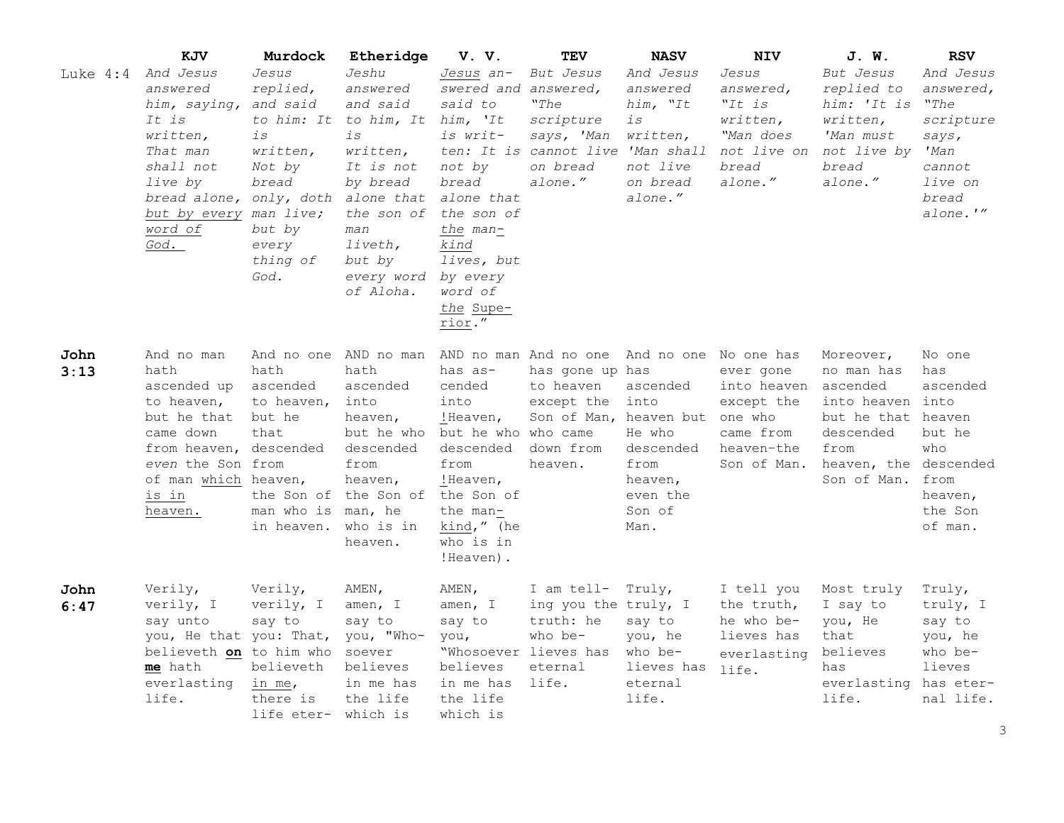|              | KJV                                                                                                                                                                    | Murdock                                                                                                                                            | Etheridge                                                                                                                                                                                  | V. V.                                                                                                                                                                                     | TEV                                                                                                                                         | <b>NASV</b>                                                                              | <b>NIV</b>                                                                                  | J. W.                                                                                                                            | <b>RSV</b>                                                                                             |
|--------------|------------------------------------------------------------------------------------------------------------------------------------------------------------------------|----------------------------------------------------------------------------------------------------------------------------------------------------|--------------------------------------------------------------------------------------------------------------------------------------------------------------------------------------------|-------------------------------------------------------------------------------------------------------------------------------------------------------------------------------------------|---------------------------------------------------------------------------------------------------------------------------------------------|------------------------------------------------------------------------------------------|---------------------------------------------------------------------------------------------|----------------------------------------------------------------------------------------------------------------------------------|--------------------------------------------------------------------------------------------------------|
| Luke $4:4$   | And Jesus<br>answered<br>him, saying,<br>It is<br>written,<br>That man<br>shall not<br>live by<br>bread alone,<br>but by every<br>word of<br>God.                      | Jesus<br>replied,<br>and said<br>to him: It<br>is<br>written,<br>Not by<br>bread<br>only, doth<br>man live;<br>but by<br>every<br>thing of<br>God. | Jeshu<br>answered<br>and said<br>to him, It<br>$\dot{1}S$<br>written,<br>It is not<br>by bread<br>alone that<br>the son of<br>man<br>liveth,<br>but by<br>every word<br>of Aloha.          | Jesus an-<br>swered and<br>said to<br>him, 'It<br>is writ-<br>not by<br>bread<br>alone that<br>the son of<br>the man-<br>kind<br>lives, but<br>by every<br>word of<br>the Supe-<br>rior." | But Jesus<br>answered,<br>"The<br>scripture<br>says, 'Man<br>ten: It is cannot live 'Man shall<br>on bread<br>alone."                       | And Jesus<br>answered<br>him, "It<br>is<br>written,<br>not live<br>on bread<br>alone."   | Jesus<br>answered,<br>"It is<br>written,<br>"Man does<br>not live on<br>bread<br>alone."    | But Jesus<br>replied to<br>him: 'It is<br>written,<br>'Man must<br>not live by<br>bread<br>alone."                               | And Jesus<br>answered,<br>"The<br>scripture<br>says,<br>'Man<br>cannot<br>live on<br>bread<br>alone.'" |
| John<br>3:13 | And no man<br>hath<br>ascended up<br>to heaven,<br>but he that<br>came down<br>from heaven, descended<br>even the Son from<br>of man which heaven,<br>is in<br>heaven. | And no one<br>hath<br>ascended<br>to heaven,<br>but he<br>that<br>man who is<br>in heaven.                                                         | AND no man<br>hath<br>ascended<br>into<br>heaven,<br>but he who but he who who came<br>descended<br>from<br>heaven,<br>the Son of the Son of the Son of<br>man, he<br>who is in<br>heaven. | has as-<br>cended<br>into<br>!Heaven,<br>descended<br>from<br>!Heaven,<br>the man-<br>kind," (he<br>who is in<br>!Heaven).                                                                | AND no man And no one And no one No one has<br>has gone up has<br>to heaven<br>except the<br>Son of Man, heaven but<br>down from<br>heaven. | ascended<br>into<br>He who<br>descended<br>from<br>heaven,<br>even the<br>Son of<br>Man. | ever gone<br>into heaven<br>except the<br>one who<br>came from<br>heaven-the<br>Son of Man. | Moreover,<br>no man has<br>ascended<br>into heaven into<br>but he that heaven<br>descended<br>from<br>heaven, the<br>Son of Man. | No one<br>has<br>ascended<br>but he<br>who<br>descended<br>from<br>heaven,<br>the Son<br>of man.       |
| John<br>6:47 | Verily,<br>verily, I<br>say unto<br>you, He that you: That,<br>believeth on to him who<br>me hath<br>everlasting<br>life.                                              | Verily,<br>verily, I<br>say to<br>believeth<br>in me,<br>there is<br>life eter- which is                                                           | AMEN,<br>amen, I<br>say to<br>you, "Who-<br>soever<br>believes<br>in me has<br>the life                                                                                                    | AMEN,<br>amen, I<br>say to<br>you,<br>believes<br>in me has<br>the life<br>which is                                                                                                       | I am tell-<br>ing you the truly, I<br>truth: he<br>who be-<br>"Whosoever lieves has<br>eternal<br>life.                                     | Truly,<br>say to<br>you, he<br>who be-<br>lieves has<br>eternal<br>life.                 | I tell you<br>the truth,<br>he who be-<br>lieves has<br>everlasting<br>life.                | Most truly<br>I say to<br>you, He<br>that<br>believes<br>has<br>everlasting<br>life.                                             | Truly,<br>truly, I<br>say to<br>you, he<br>who be-<br>lieves<br>has eter-<br>nal life.                 |

3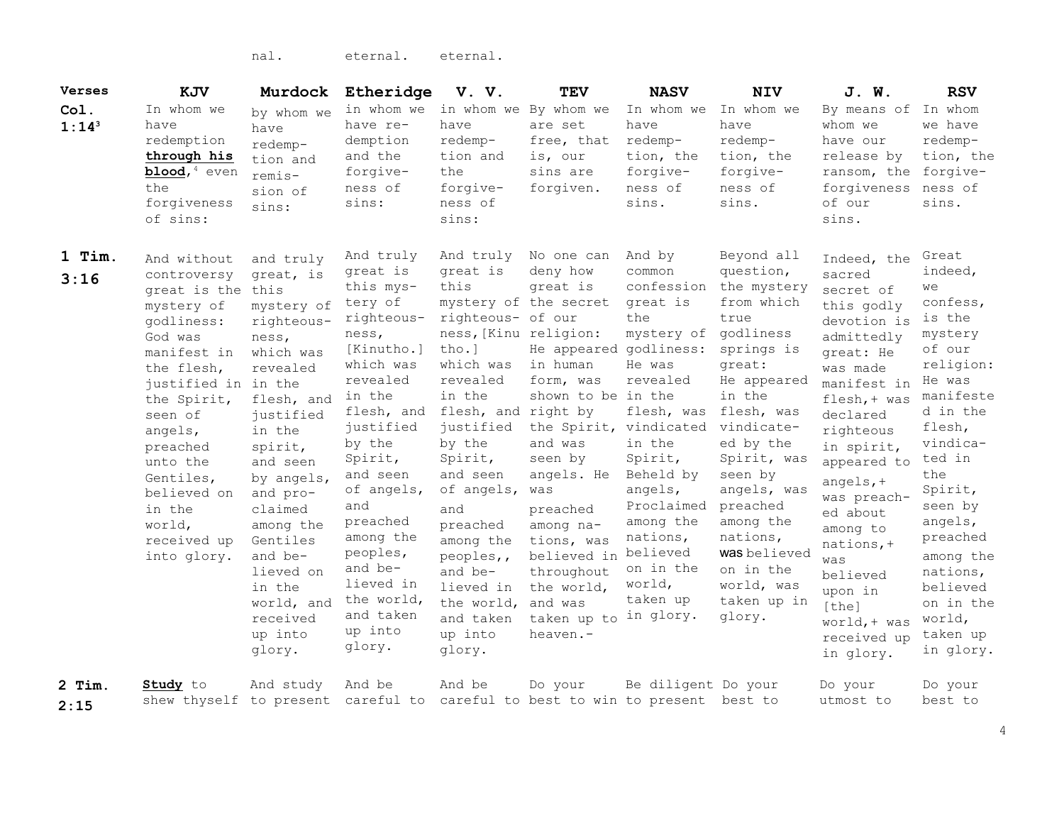nal. eternal. eternal.

| <b>Verses</b>      | KJV                                                                                                                                                                                                                                                                              | Murdock                                                                                                                                                                                                                                                                                                 | Etheridge                                                                                                                                                                                                                                                                                                           | V. V.                                                                                                                                                                                                                                                                                                                              | <b>TEV</b>                                                                                                                                                                                                                                                                                                                        | <b>NASV</b>                                                                                                                                                                                                                                         | <b>NIV</b>                                                                                                                                                                                                                                                                                                            | J. W.                                                                                                                                                                                                                                                                                                                                                   | <b>RSV</b>                                                                                                                                                                                                                                                                                 |
|--------------------|----------------------------------------------------------------------------------------------------------------------------------------------------------------------------------------------------------------------------------------------------------------------------------|---------------------------------------------------------------------------------------------------------------------------------------------------------------------------------------------------------------------------------------------------------------------------------------------------------|---------------------------------------------------------------------------------------------------------------------------------------------------------------------------------------------------------------------------------------------------------------------------------------------------------------------|------------------------------------------------------------------------------------------------------------------------------------------------------------------------------------------------------------------------------------------------------------------------------------------------------------------------------------|-----------------------------------------------------------------------------------------------------------------------------------------------------------------------------------------------------------------------------------------------------------------------------------------------------------------------------------|-----------------------------------------------------------------------------------------------------------------------------------------------------------------------------------------------------------------------------------------------------|-----------------------------------------------------------------------------------------------------------------------------------------------------------------------------------------------------------------------------------------------------------------------------------------------------------------------|---------------------------------------------------------------------------------------------------------------------------------------------------------------------------------------------------------------------------------------------------------------------------------------------------------------------------------------------------------|--------------------------------------------------------------------------------------------------------------------------------------------------------------------------------------------------------------------------------------------------------------------------------------------|
| Col.<br>$1:14^{3}$ | In whom we<br>have<br>redemption<br>through his<br>$blood$ , <sup>4</sup> even<br>the<br>forgiveness<br>of sins:                                                                                                                                                                 | by whom we<br>have<br>redemp-<br>tion and<br>remis-<br>sion of<br>sins:                                                                                                                                                                                                                                 | in whom we<br>have re-<br>demption<br>and the<br>forgive-<br>ness of<br>sins:                                                                                                                                                                                                                                       | in whom we<br>have<br>redemp-<br>tion and<br>the<br>forgive-<br>ness of<br>sins:                                                                                                                                                                                                                                                   | By whom we<br>are set<br>free, that<br>is, our<br>sins are<br>forgiven.                                                                                                                                                                                                                                                           | In whom we<br>have<br>redemp-<br>tion, the<br>forgive-<br>ness of<br>sins.                                                                                                                                                                          | In whom we<br>have<br>redemp-<br>tion, the<br>forgive-<br>ness of<br>sins.                                                                                                                                                                                                                                            | By means of<br>whom we<br>have our<br>release by<br>ransom, the<br>forgiveness<br>of our<br>sins.                                                                                                                                                                                                                                                       | In whom<br>we have<br>redemp-<br>tion, the<br>forgive-<br>ness of<br>sins.                                                                                                                                                                                                                 |
| 1 Tim.<br>3:16     | And without<br>controversy<br>great is the<br>mystery of<br>qodliness:<br>God was<br>manifest in<br>the flesh,<br>justified in in the<br>the Spirit,<br>seen of<br>angels,<br>preached<br>unto the<br>Gentiles,<br>believed on<br>in the<br>world,<br>received up<br>into glory. | and truly<br>great, is<br>this<br>mystery of<br>righteous-<br>ness,<br>which was<br>revealed<br>flesh, and<br>justified<br>in the<br>spirit,<br>and seen<br>by angels,<br>and pro-<br>claimed<br>among the<br>Gentiles<br>and be-<br>lieved on<br>in the<br>world, and<br>received<br>up into<br>glory. | And truly<br>great is<br>this mys-<br>tery of<br>righteous-<br>ness,<br>[Kinutho.]<br>which was<br>revealed<br>in the<br>flesh, and<br>justified<br>by the<br>Spirit,<br>and seen<br>of angels,<br>and<br>preached<br>among the<br>peoples,<br>and be-<br>lieved in<br>the world,<br>and taken<br>up into<br>glory. | And truly<br>great is<br>this<br>righteous- of our<br>ness, [Kinu religion:<br>$tho.$ ]<br>which was<br>revealed<br>in the<br>flesh, and right by<br>justified<br>by the<br>Spirit,<br>and seen<br>of angels,<br>and<br>preached<br>among the<br>peoples,,<br>and be-<br>lieved in<br>the world,<br>and taken<br>up into<br>glory. | No one can<br>deny how<br>great is<br>mystery of the secret<br>He appeared godliness:<br>in human<br>form, was<br>shown to be in the<br>the Spirit, vindicated<br>and was<br>seen by<br>angels. He<br>was<br>preached<br>among na-<br>tions, was<br>believed in<br>throughout<br>the world,<br>and was<br>taken up to<br>heaven.- | And by<br>common<br>confession<br>great is<br>the<br>mystery of<br>He was<br>revealed<br>flesh, was<br>in the<br>Spirit,<br>Beheld by<br>angels,<br>Proclaimed<br>among the<br>nations,<br>believed<br>on in the<br>world,<br>taken up<br>in glory. | Beyond all<br>question,<br>the mystery<br>from which<br>true<br>godliness<br>springs is<br>great:<br>He appeared<br>in the<br>flesh, was<br>vindicate-<br>ed by the<br>Spirit, was<br>seen by<br>angels, was<br>preached<br>among the<br>nations,<br>was believed<br>on in the<br>world, was<br>taken up in<br>glory. | Indeed, the<br>sacred<br>secret of<br>this godly<br>devotion is<br>admittedly<br>great: He<br>was made<br>manifest in<br>$flesh, + was$<br>declared<br>righteous<br>in spirit,<br>appeared to<br>angels, $+$<br>was preach-<br>ed about<br>among to<br>$nations, +$<br>was<br>believed<br>upon in<br>[the]<br>$word, + was$<br>received up<br>in glory. | Great<br>indeed,<br>we<br>confess,<br>is the<br>mystery<br>of our<br>religion:<br>He was<br>manifeste<br>d in the<br>flesh,<br>vindica-<br>ted in<br>the<br>Spirit,<br>seen by<br>angels,<br>preached<br>among the<br>nations,<br>believed<br>on in the<br>world,<br>taken up<br>in glory. |
| $2$ Tim.<br>2:15   | <b>Study</b> to<br>shew thyself to present careful to                                                                                                                                                                                                                            | And study                                                                                                                                                                                                                                                                                               | And be                                                                                                                                                                                                                                                                                                              | And be                                                                                                                                                                                                                                                                                                                             | Do your<br>careful to best to win to present best to                                                                                                                                                                                                                                                                              | Be diligent Do your                                                                                                                                                                                                                                 |                                                                                                                                                                                                                                                                                                                       | Do your<br>utmost to                                                                                                                                                                                                                                                                                                                                    | Do your<br>best to                                                                                                                                                                                                                                                                         |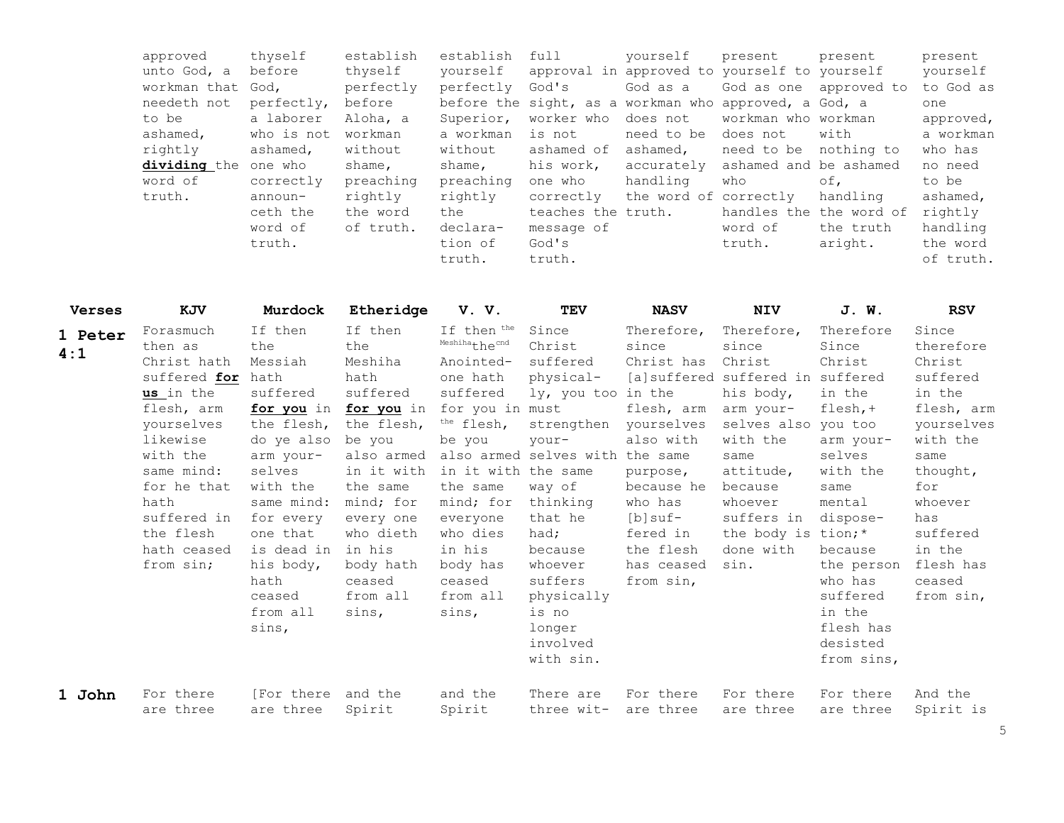| approved          | thyself    | establish | establish | full               | vourself              | present                                               | present    | present   |
|-------------------|------------|-----------|-----------|--------------------|-----------------------|-------------------------------------------------------|------------|-----------|
| unto God, a       | before     | thyself   | vourself  |                    |                       | approval in approved to yourself to yourself          |            | yourself  |
| workman that God, |            | perfectly | perfectly | God's              | God as a              | God as one approved to                                |            | to God as |
| needeth not       | perfectly, | before    |           |                    |                       | before the sight, as a workman who approved, a God, a |            | one       |
| to be             | a laborer  | Aloha, a  | Superior, | worker who         | does not              | workman who workman                                   |            | approved, |
| ashamed,          | who is not | workman   | a workman | is not             | need to be            | does not                                              | with       | a workman |
| rightly           | ashamed,   | without   | without   | ashamed of         | ashamed,              | need to be                                            | nothing to | who has   |
| dividing the      | one who    | shame,    | shame,    | his work,          | accurately            | ashamed and be ashamed                                |            | no need   |
| word of           | correctly  | preaching | preaching | one who            | handling              | who                                                   | оf,        | to be     |
| truth.            | $announ-$  | rightly   | rightly   | correctly          | the word of correctly |                                                       | handling   | ashamed,  |
|                   | ceth the   | the word  | the       | teaches the truth. |                       | handles the the word of                               |            | rightly   |
|                   | word of    | of truth. | declara-  | message of         |                       | word of                                               | the truth  | handling  |
|                   | truth.     |           | tion of   | God's              |                       | truth.                                                | aright.    | the word  |
|                   |            |           | truth.    | truth.             |                       |                                                       |            | of truth. |

| <b>Verses</b>  | KJV                                                                                                                                                                                                               | Murdock                                                                                                                                                                                                                             | Etheridge                                                                                                                                                                                                                | V.V.                                                                                                                                                                                                                                                 | TEV                                                                                                                                                                                                                                                          | <b>NASV</b>                                                                                                                                                                    | <b>NIV</b>                                                                                                                                                                                                                          | J. W.                                                                                                                                                                                                                          | <b>RSV</b>                                                                                                                                                                                        |
|----------------|-------------------------------------------------------------------------------------------------------------------------------------------------------------------------------------------------------------------|-------------------------------------------------------------------------------------------------------------------------------------------------------------------------------------------------------------------------------------|--------------------------------------------------------------------------------------------------------------------------------------------------------------------------------------------------------------------------|------------------------------------------------------------------------------------------------------------------------------------------------------------------------------------------------------------------------------------------------------|--------------------------------------------------------------------------------------------------------------------------------------------------------------------------------------------------------------------------------------------------------------|--------------------------------------------------------------------------------------------------------------------------------------------------------------------------------|-------------------------------------------------------------------------------------------------------------------------------------------------------------------------------------------------------------------------------------|--------------------------------------------------------------------------------------------------------------------------------------------------------------------------------------------------------------------------------|---------------------------------------------------------------------------------------------------------------------------------------------------------------------------------------------------|
| 1 Peter<br>4:1 | Forasmuch<br>then as<br>Christ hath<br>suffered for<br>us in the<br>flesh, arm<br>yourselves<br>likewise<br>with the<br>same mind:<br>for he that<br>hath<br>suffered in<br>the flesh<br>hath ceased<br>from sin; | If then<br>the<br>Messiah<br>hath<br>suffered<br>for you in<br>the flesh,<br>do ye also<br>arm vour-<br>selves<br>with the<br>same mind:<br>for every<br>one that<br>is dead in<br>his body,<br>hath<br>ceased<br>from all<br>sins, | If then<br>the<br>Meshiha<br>hath<br>suffered<br>for you in<br>the flesh,<br>be you<br>also armed<br>in it with<br>the same<br>mind; for<br>every one<br>who dieth<br>in his<br>body hath<br>ceased<br>from all<br>sins, | If then the<br>Meshihathecnd<br>Anointed-<br>one hath<br>suffered<br>for you in must<br><sup>the</sup> flesh,<br>be you<br>in it with the same<br>the same<br>mind; for<br>everyone<br>who dies<br>in his<br>body has<br>ceased<br>from all<br>sins, | Since<br>Christ<br>suffered<br>physical-<br>ly, you too in the<br>strengthen<br>your-<br>also armed selves with the same<br>way of<br>thinking<br>that he<br>had;<br>because<br>whoever<br>suffers<br>physically<br>is no<br>longer<br>involved<br>with sin. | Therefore,<br>since<br>Christ has<br>flesh, arm<br>yourselves<br>also with<br>purpose,<br>because he<br>who has<br>[b]suf-<br>fered in<br>the flesh<br>has ceased<br>from sin, | Therefore,<br>since<br>Christ<br>[a] suffered suffered in suffered<br>his body,<br>arm your-<br>selves also you too<br>with the<br>same<br>attitude,<br>because<br>whoever<br>suffers in<br>the body is tion;*<br>done with<br>sin. | Therefore<br>Since<br>Christ<br>in the<br>$f \text{lesh}, +$<br>arm your-<br>selves<br>with the<br>same<br>mental<br>dispose-<br>because<br>the person<br>who has<br>suffered<br>in the<br>flesh has<br>desisted<br>from sins, | Since<br>therefore<br>Christ<br>suffered<br>in the<br>flesh, arm<br>yourselves<br>with the<br>same<br>thought,<br>for<br>whoever<br>has<br>suffered<br>in the<br>flesh has<br>ceased<br>from sin, |
| 1 John         | For there<br>are three                                                                                                                                                                                            | [For there<br>are three                                                                                                                                                                                                             | and the<br>Spirit                                                                                                                                                                                                        | and the<br>Spirit                                                                                                                                                                                                                                    | There are<br>three wit-                                                                                                                                                                                                                                      | For there<br>are three                                                                                                                                                         | For there<br>are three                                                                                                                                                                                                              | For there<br>are three                                                                                                                                                                                                         | And the<br>Spirit is                                                                                                                                                                              |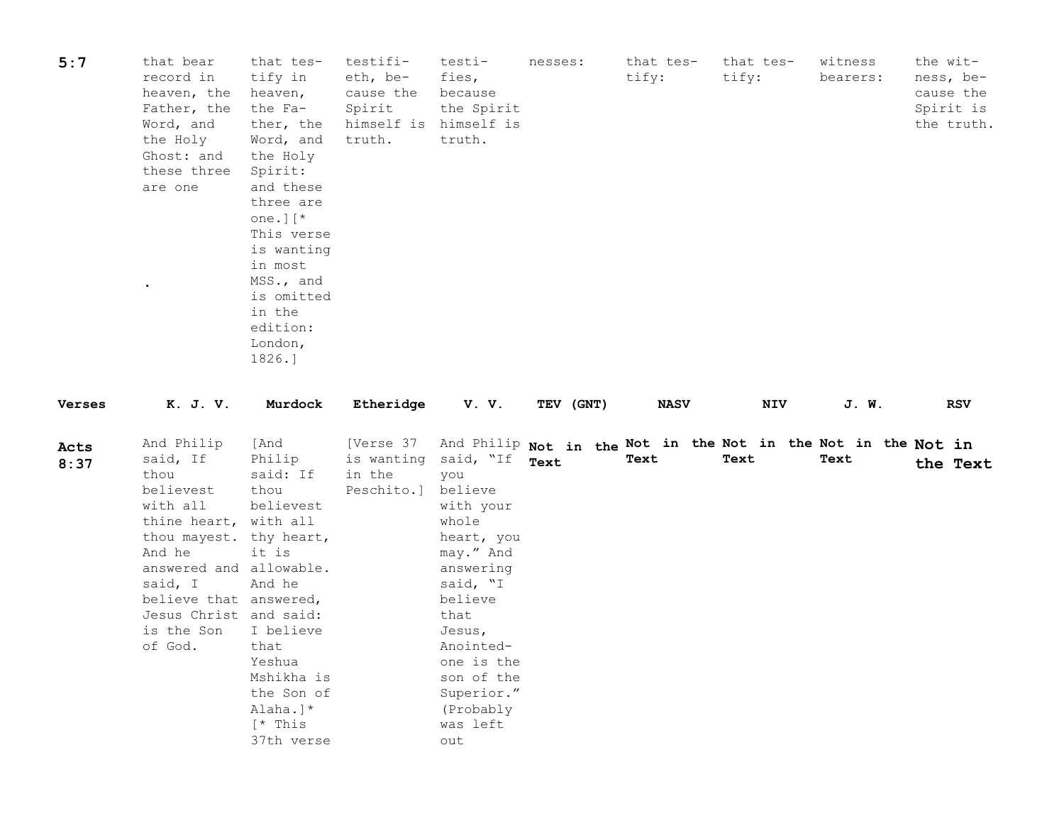| 5:7          | that bear<br>record in<br>heaven, the<br>Father, the<br>Word, and<br>the Holy<br>Ghost: and<br>these three<br>are one                                                                                                                    | that tes-<br>tify in<br>heaven,<br>the Fa-<br>ther, the<br>Word, and<br>the Holy<br>Spirit:<br>and these<br>three are<br>one. $\vert \upharpoonright^*$<br>This verse<br>is wanting<br>in most<br>MSS., and<br>is omitted<br>in the<br>edition:<br>London,<br>1826.] | testifi-<br>eth, be-<br>cause the<br>Spirit<br>himself is<br>truth. | testi-<br>fies,<br>because<br>the Spirit<br>himself is<br>truth.                                                                                                                                                          | nesses:   | that tes-<br>tify: | that tes-<br>tify:                                                    | witness<br>bearers: | the wit-<br>ness, be-<br>cause the<br>Spirit is<br>the truth. |
|--------------|------------------------------------------------------------------------------------------------------------------------------------------------------------------------------------------------------------------------------------------|----------------------------------------------------------------------------------------------------------------------------------------------------------------------------------------------------------------------------------------------------------------------|---------------------------------------------------------------------|---------------------------------------------------------------------------------------------------------------------------------------------------------------------------------------------------------------------------|-----------|--------------------|-----------------------------------------------------------------------|---------------------|---------------------------------------------------------------|
| Verses       | K. J. V.                                                                                                                                                                                                                                 | Murdock                                                                                                                                                                                                                                                              | Etheridge                                                           | V.V.                                                                                                                                                                                                                      | TEV (GNT) | <b>NASV</b>        | NIV                                                                   | J. W.               | <b>RSV</b>                                                    |
| Acts<br>8:37 | And Philip<br>said, If<br>thou<br>believest<br>with all<br>thine heart, with all<br>thou mayest. thy heart,<br>And he<br>answered and allowable.<br>said, I<br>believe that answered,<br>Jesus Christ and said:<br>is the Son<br>of God. | [And<br>Philip<br>said: If<br>thou<br>believest<br>it is<br>And he<br>I believe<br>that<br>Yeshua<br>Mshikha is<br>the Son of<br>Alaha.]*<br>$[*$ This<br>37th verse                                                                                                 | [Verse 37<br>is wanting<br>in the<br>Peschito.]                     | said, "If<br>you<br>believe<br>with your<br>whole<br>heart, you<br>may." And<br>answering<br>said, "I<br>believe<br>that<br>Jesus,<br>Anointed-<br>one is the<br>son of the<br>Superior."<br>(Probably<br>was left<br>out | Text      | Text               | And Philip Not in the Not in the Not in the Not in the Not in<br>Text | Text                | the Text                                                      |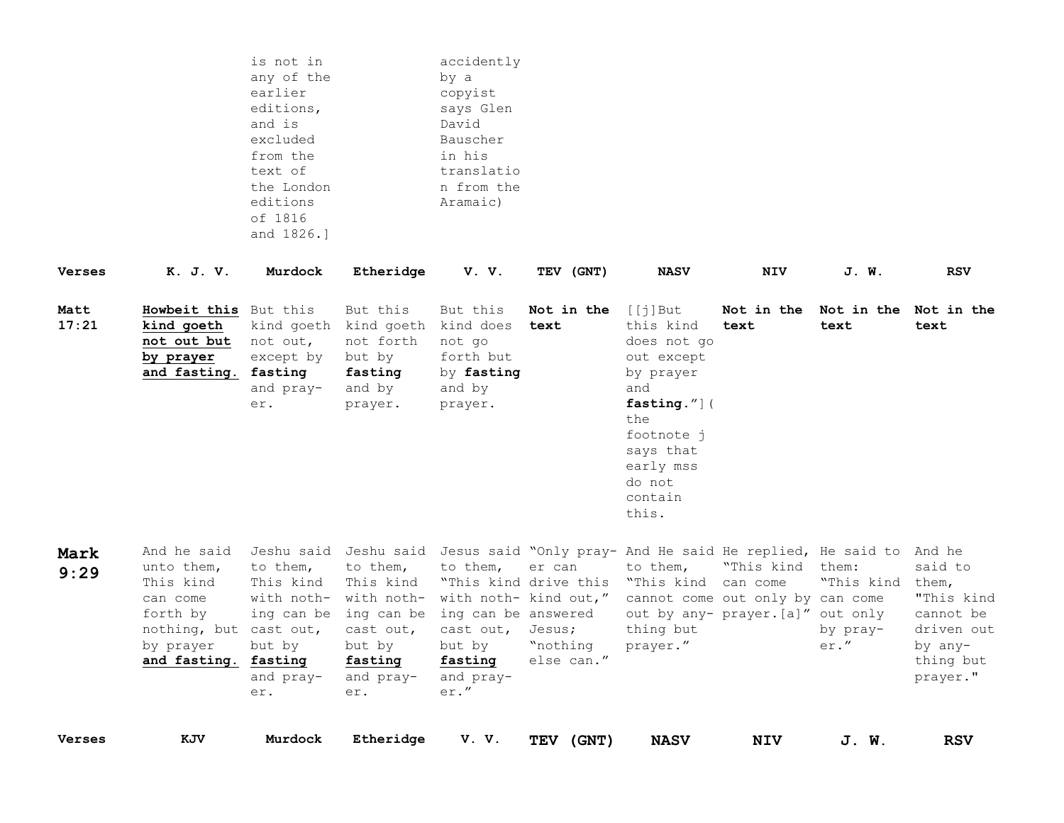|               |                                                                                                                               | is not in<br>any of the<br>earlier<br>editions,<br>and is<br>excluded<br>from the<br>text of<br>the London<br>editions<br>of 1816<br>and 1826.] |                                                                                                                                                              | accidently<br>by a<br>copyist<br>says Glen<br>David<br>Bauscher<br>in his<br>translatio<br>n from the<br>Aramaic) |                                                                     |                                                                                                                                                                      |                                                                                           |                                      |                                                                                      |
|---------------|-------------------------------------------------------------------------------------------------------------------------------|-------------------------------------------------------------------------------------------------------------------------------------------------|--------------------------------------------------------------------------------------------------------------------------------------------------------------|-------------------------------------------------------------------------------------------------------------------|---------------------------------------------------------------------|----------------------------------------------------------------------------------------------------------------------------------------------------------------------|-------------------------------------------------------------------------------------------|--------------------------------------|--------------------------------------------------------------------------------------|
| <b>Verses</b> | K. J. V.                                                                                                                      | Murdock                                                                                                                                         | Etheridge                                                                                                                                                    | V.V.                                                                                                              | TEV (GNT)                                                           | <b>NASV</b>                                                                                                                                                          | <b>NIV</b>                                                                                | J. W.                                | <b>RSV</b>                                                                           |
| Matt<br>17:21 | Howbeit this But this<br>kind goeth<br>not out but<br>by prayer<br>and fasting. fasting                                       | not out,<br>except by<br>and pray-<br>er.                                                                                                       | But this<br>kind goeth kind goeth kind does<br>not forth<br>but by<br>fasting<br>and by<br>prayer.                                                           | But this<br>not go<br>forth but<br>by fasting<br>and by<br>prayer.                                                | Not in the<br>text                                                  | $[$ [j]But<br>this kind<br>does not go<br>out except<br>by prayer<br>and<br>fasting."](<br>the<br>footnote j<br>says that<br>early mss<br>do not<br>contain<br>this. | Not in the<br>text                                                                        | Not in the Not in the<br>text        | text                                                                                 |
| Mark<br>9:29  | And he said<br>unto them,<br>This kind<br>can come<br>forth by<br>nothing, but cast out,<br>by prayer<br>and fasting. fasting | to them,<br>This kind<br>but by<br>and pray-<br>er.                                                                                             | to them,<br>This kind<br>with noth- with noth-<br>ing can be ing can be ing can be answered<br>cast out,<br>but by<br>fasting<br>and pray-<br>$\texttt{er}.$ | to them,<br>"This kind drive this<br>cast out,<br>but by<br>fasting<br>and pray-<br>er."                          | er can<br>with noth- kind out,"<br>Jesus;<br>"nothing<br>else can." | Jeshu said Jeshu said Jesus said "Only pray- And He said He replied, He said to And he<br>to them,<br>"This kind can come"<br>thing but<br>prayer."                  | "This kind them:<br>cannot come out only by can come<br>out by any- prayer. [a]" out only | "This kind them,<br>by pray-<br>er." | said to<br>"This kind<br>cannot be<br>driven out<br>by any-<br>thing but<br>prayer." |
| <b>Verses</b> | KJV                                                                                                                           | Murdock                                                                                                                                         | Etheridge                                                                                                                                                    | V.V.                                                                                                              | TEV (GNT)                                                           | <b>NASV</b>                                                                                                                                                          | <b>NIV</b>                                                                                | J. W.                                | <b>RSV</b>                                                                           |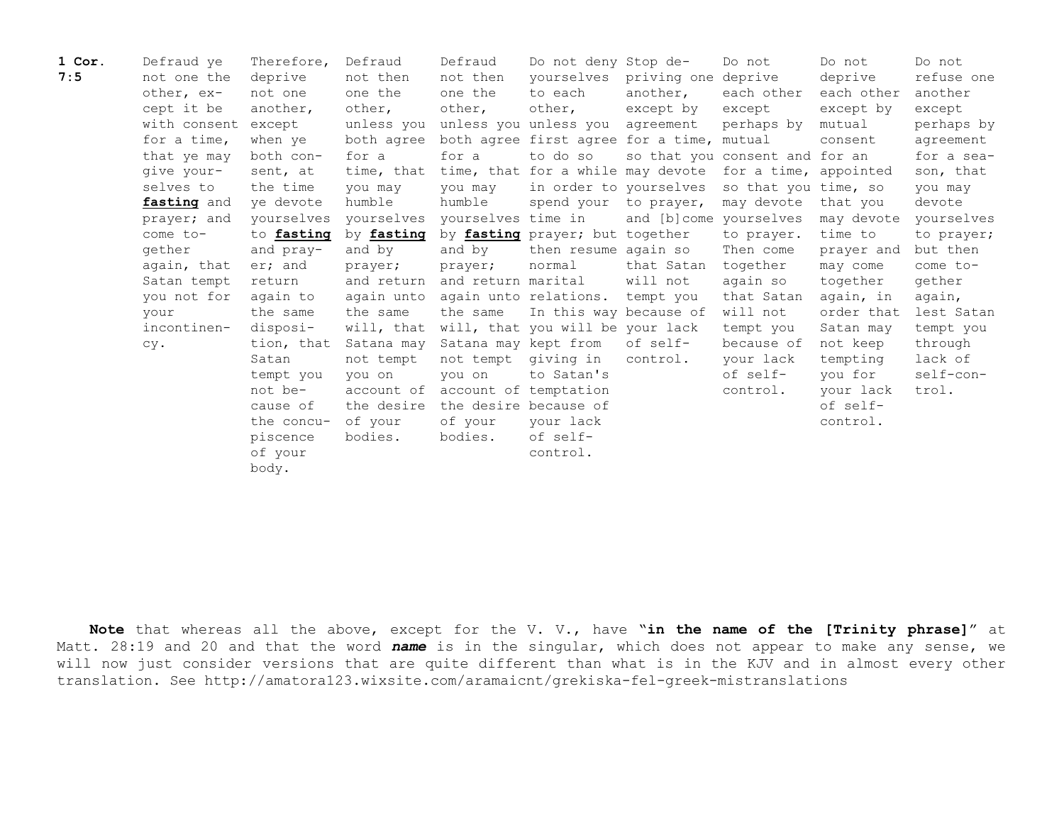| 1 Cor. | Defraud ye   | Therefore, | Defraud    | Defraud                          | Do not deny Stop de-                                    |                                | Do not                         | Do not     | Do not     |
|--------|--------------|------------|------------|----------------------------------|---------------------------------------------------------|--------------------------------|--------------------------------|------------|------------|
| 7:5    | not one the  | deprive    | not then   | not then                         |                                                         | yourselves priving one deprive |                                | deprive    | refuse one |
|        | other, ex-   | not one    | one the    | one the                          | to each                                                 | another,                       | each other                     | each other | another    |
|        | cept it be   | another,   | other,     | other,                           | other,                                                  | except by                      | except                         | except by  | except     |
|        | with consent | except     | unless you |                                  | unless you unless you agreement                         |                                | perhaps by                     | mutual     | perhaps by |
|        | for a time,  | when ye    |            |                                  | both agree both agree first agree for a time, mutual    |                                |                                | consent    | agreement  |
|        | that ye may  | both con-  | for a      | for a                            | to do so                                                |                                | so that you consent and for an |            | for a sea- |
|        | give your-   | sent, at   | time, that |                                  | time, that for a while may devote for a time, appointed |                                |                                |            | son, that  |
|        | selves to    | the time   | you may    | you may                          | in order to yourselves                                  |                                | so that you time, so           |            | you may    |
|        | fasting and  | ve devote  | humble     | humble                           | spend your to prayer,                                   |                                | may devote                     | that you   | devote     |
|        | prayer; and  | yourselves |            | yourselves yourselves time in    |                                                         | and [b]come yourselves         |                                | may devote | yourselves |
|        | come to-     | to fasting | by fasting |                                  | by fasting prayer; but together                         |                                | to prayer.                     | time to    | to prayer; |
|        | gether       | and pray-  | and by     | and by                           | then resume again so                                    |                                | Then come                      | prayer and | but then   |
|        | again, that  | er; and    | prayer;    | prayer;                          | normal                                                  | that Satan                     | together                       | may come   | come to-   |
|        | Satan tempt  | return     |            | and return and return marital    |                                                         | will not                       | again so                       | together   | gether     |
|        | you not for  | again to   |            |                                  | again unto again unto relations. tempt you              |                                | that Satan                     | again, in  | again,     |
|        | your         | the same   | the same   | the same                         | In this way because of                                  |                                | will not                       | order that | lest Satan |
|        | incontinen-  | disposi-   |            |                                  | will, that will, that you will be your lack             |                                | tempt you                      | Satan may  | tempt you  |
|        | CV.          | tion, that | Satana may | Satana may kept from             |                                                         | of self-                       | because of                     | not keep   | through    |
|        |              | Satan      | not tempt  | not tempt                        | qiving in                                               | control.                       | your lack                      | tempting   | lack of    |
|        |              | tempt you  | you on     | vou on                           | to Satan's                                              |                                | of self-                       | you for    | self-con-  |
|        |              | not be-    | account of |                                  | account of temptation                                   |                                | control.                       | your lack  | trol.      |
|        |              | cause of   |            | the desire the desire because of |                                                         |                                |                                | of self-   |            |
|        |              | the concu- | of your    | of your                          | your lack                                               |                                |                                | control.   |            |
|        |              | piscence   | bodies.    | bodies.                          | of self-                                                |                                |                                |            |            |
|        |              | of your    |            |                                  | control.                                                |                                |                                |            |            |
|        |              | body.      |            |                                  |                                                         |                                |                                |            |            |

**Note** that whereas all the above, except for the V. V., have "**in the name of the [Trinity phrase]**" at Matt. 28:19 and 20 and that the word *name* is in the singular, which does not appear to make any sense, we will now just consider versions that are quite different than what is in the KJV and in almost every other translation. See http://amatora123.wixsite.com/aramaicnt/grekiska-fel-greek-mistranslations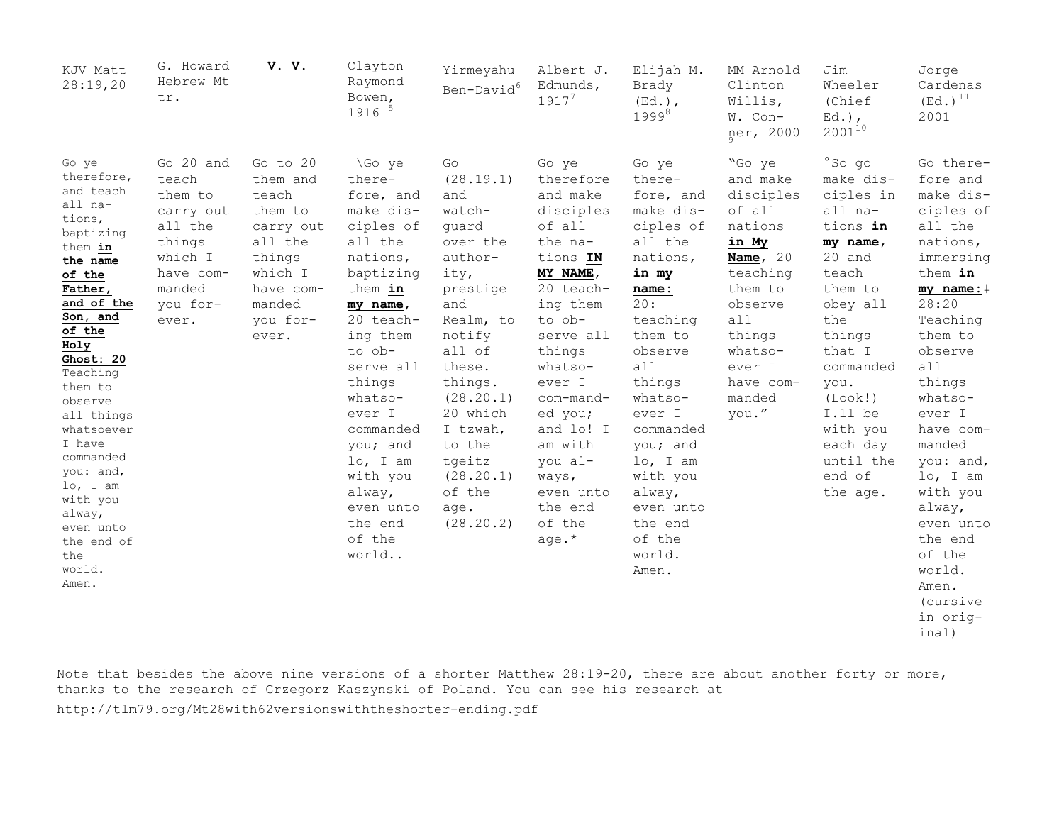| KJV Matt<br>28:19,20                                                                                                                                                                                                                                                                                                                                             | G. Howard<br>Hebrew Mt<br>tr.                                                                                          | V. V.                                                                                                                             | Clayton<br>Raymond<br>Bowen,<br>1916 5                                                                                                                                                                                                                                                                  | Yirmeyahu<br>Ben-David <sup>6</sup>                                                                                                                                                                                                                    | Albert J.<br>Edmunds,<br>$1917^{7}$                                                                                                                                                                                                                                                       | Elijah M.<br>Brady<br>$(Ed.)$ ,<br>$1999^{8}$                                                                                                                                                                                                                                                  | MM Arnold<br>Clinton<br>Willis,<br>W. Con-<br>ner, 2000                                                                                                                             | Jim<br>Wheeler<br>(Chief<br>$Ed.$ ),<br>$2001^{10}$                                                                                                                                                                                            | Jorge<br>Cardenas<br>$(Ed.)$ <sup>11</sup><br>2001                                                                                                                                                                                                                                                                                                                  |
|------------------------------------------------------------------------------------------------------------------------------------------------------------------------------------------------------------------------------------------------------------------------------------------------------------------------------------------------------------------|------------------------------------------------------------------------------------------------------------------------|-----------------------------------------------------------------------------------------------------------------------------------|---------------------------------------------------------------------------------------------------------------------------------------------------------------------------------------------------------------------------------------------------------------------------------------------------------|--------------------------------------------------------------------------------------------------------------------------------------------------------------------------------------------------------------------------------------------------------|-------------------------------------------------------------------------------------------------------------------------------------------------------------------------------------------------------------------------------------------------------------------------------------------|------------------------------------------------------------------------------------------------------------------------------------------------------------------------------------------------------------------------------------------------------------------------------------------------|-------------------------------------------------------------------------------------------------------------------------------------------------------------------------------------|------------------------------------------------------------------------------------------------------------------------------------------------------------------------------------------------------------------------------------------------|---------------------------------------------------------------------------------------------------------------------------------------------------------------------------------------------------------------------------------------------------------------------------------------------------------------------------------------------------------------------|
| Go ye<br>therefore,<br>and teach<br>all na-<br>tions,<br>baptizing<br>them in<br>the name<br>of the<br>Father,<br>and of the<br>Son, and<br>of the<br>Holy<br>Ghost: 20<br>Teaching<br>them to<br>observe<br>all things<br>whatsoever<br>I have<br>commanded<br>you: and,<br>lo, I am<br>with you<br>alway,<br>even unto<br>the end of<br>the<br>world.<br>Amen. | Go 20 and<br>teach<br>them to<br>carry out<br>all the<br>things<br>which I<br>have com-<br>manded<br>you for-<br>ever. | Go to 20<br>them and<br>teach<br>them to<br>carry out<br>all the<br>things<br>which I<br>have com-<br>manded<br>you for-<br>ever. | \Go ye<br>there-<br>fore, and<br>make dis-<br>ciples of<br>all the<br>nations,<br>baptizing<br>them in<br>my name,<br>20 teach-<br>ing them<br>to ob-<br>serve all<br>things<br>whatso-<br>ever I<br>commanded<br>you; and<br>lo, I am<br>with you<br>alway,<br>even unto<br>the end<br>of the<br>world | Go<br>(28.19.1)<br>and<br>watch-<br>guard<br>over the<br>author-<br>ity,<br>prestige<br>and<br>Realm, to<br>notify<br>all of<br>these.<br>things.<br>(28.20.1)<br>20 which<br>I tzwah,<br>to the<br>tgeitz<br>(28.20.1)<br>of the<br>age.<br>(28.20.2) | Go ye<br>therefore<br>and make<br>disciples<br>of all<br>the na-<br>tions IN<br>MY NAME,<br>20 teach-<br>ing them<br>to ob-<br>serve all<br>things<br>whatso-<br>ever I<br>com-mand-<br>ed you;<br>and lo! I<br>am with<br>you al-<br>ways,<br>even unto<br>the end<br>of the<br>age. $*$ | Go ye<br>there-<br>fore, and<br>make dis-<br>ciples of<br>all the<br>nations,<br>in my<br>name:<br>20:<br>teaching<br>them to<br>observe<br>all<br>things<br>whatso-<br>ever I<br>commanded<br>you; and<br>lo, I am<br>with you<br>alway,<br>even unto<br>the end<br>of the<br>world.<br>Amen. | "Go ye<br>and make<br>disciples<br>of all<br>nations<br>in My<br>Name, $20$<br>teaching<br>them to<br>observe<br>all<br>things<br>whatso-<br>ever I<br>have com-<br>manded<br>you." | °So go<br>make dis-<br>ciples in<br>all na-<br>tions in<br>my name,<br>20 and<br>teach<br>them to<br>obey all<br>the<br>things<br>that I<br>commanded<br>you.<br>(Look!)<br>I.ll be<br>with you<br>each day<br>until the<br>end of<br>the age. | Go there-<br>fore and<br>make dis-<br>ciples of<br>all the<br>nations,<br>immersing<br>them in<br>my $name:$ $\dagger$<br>28:20<br>Teaching<br>them to<br>observe<br>all<br>things<br>whatso-<br>ever I<br>have com-<br>manded<br>you: and,<br>lo, I am<br>with you<br>alway,<br>even unto<br>the end<br>of the<br>world.<br>Amen.<br>(cursive<br>in orig-<br>inal) |

Note that besides the above nine versions of a shorter Matthew 28:19-20, there are about another forty or more, thanks to the research of Grzegorz Kaszynski of Poland. You can see his research at

http://tlm79.org/Mt28with62versionswiththeshorter-ending.pdf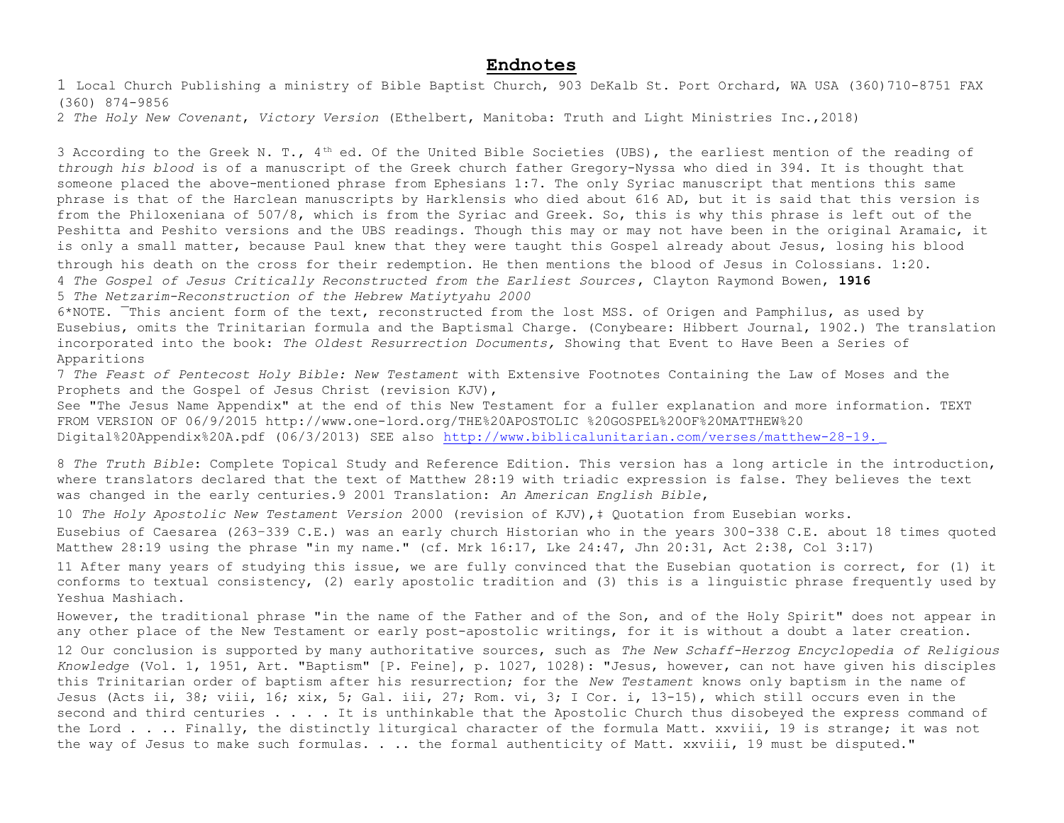## **Endnotes**

1 Local Church Publishing a ministry of Bible Baptist Church, 903 DeKalb St. Port Orchard, WA USA (360)710-8751 FAX (360) 874-9856

2 *The Holy New Covenant*, *Victory Version* (Ethelbert, Manitoba: Truth and Light Ministries Inc.,2018)

3 According to the Greek N. T.,  $4<sup>th</sup>$  ed. Of the United Bible Societies (UBS), the earliest mention of the reading of *through his blood* is of a manuscript of the Greek church father Gregory-Nyssa who died in 394. It is thought that someone placed the above-mentioned phrase from Ephesians 1:7. The only Syriac manuscript that mentions this same phrase is that of the Harclean manuscripts by Harklensis who died about 616 AD, but it is said that this version is from the Philoxeniana of 507/8, which is from the Syriac and Greek. So, this is why this phrase is left out of the Peshitta and Peshito versions and the UBS readings. Though this may or may not have been in the original Aramaic, it is only a small matter, because Paul knew that they were taught this Gospel already about Jesus, losing his blood through his death on the cross for their redemption. He then mentions the blood of Jesus in Colossians. 1:20. 4 *The Gospel of Jesus Critically Reconstructed from the Earliest Sources*, Clayton Raymond Bowen, **1916**  5 *The Netzarim-Reconstruction of the Hebrew Matiytyahu 2000*

6\*NOTE. ¯This ancient form of the text, reconstructed from the lost MSS. of Origen and Pamphilus, as used by Eusebius, omits the Trinitarian formula and the Baptismal Charge. (Conybeare: Hibbert Journal, 1902.) The translation incorporated into the book: *The Oldest Resurrection Documents,* Showing that Event to Have Been a Series of Apparitions

7 *The Feast of Pentecost Holy Bible: New Testament* with Extensive Footnotes Containing the Law of Moses and the Prophets and the Gospel of Jesus Christ (revision KJV),

See "The Jesus Name Appendix" at the end of this New Testament for a fuller explanation and more information. TEXT FROM VERSION OF 06/9/2015 http://www.one-lord.org/THE%20APOSTOLIC %20GOSPEL%20OF%20MATTHEW%20 Digital%20Appendix%20A.pdf (06/3/2013) SEE also <http://www.biblicalunitarian.com/verses/matthew-28-19.>

8 *The Truth Bible*: Complete Topical Study and Reference Edition. This version has a long article in the introduction, where translators declared that the text of Matthew 28:19 with triadic expression is false. They believes the text was changed in the early centuries.9 2001 Translation: *An American English Bible*,

10 *The Holy Apostolic New Testament Version* 2000 (revision of KJV),‡ Quotation from Eusebian works.

Eusebius of Caesarea (263–339 C.E.) was an early church Historian who in the years 300-338 C.E. about 18 times quoted Matthew 28:19 using the phrase "in my name." (cf. Mrk 16:17, Lke 24:47, Jhn 20:31, Act 2:38, Col 3:17)

11 After many years of studying this issue, we are fully convinced that the Eusebian quotation is correct, for (1) it conforms to textual consistency, (2) early apostolic tradition and (3) this is a linguistic phrase frequently used by Yeshua Mashiach.

However, the traditional phrase "in the name of the Father and of the Son, and of the Holy Spirit" does not appear in any other place of the New Testament or early post-apostolic writings, for it is without a doubt a later creation. 12 Our conclusion is supported by many authoritative sources, such as *The New Schaff-Herzog Encyclopedia of Religious Knowledge* (Vol. 1, 1951, Art. "Baptism" [P. Feine], p. 1027, 1028): "Jesus, however, can not have given his disciples this Trinitarian order of baptism after his resurrection; for the *New Testament* knows only baptism in the name of Jesus (Acts ii, 38; viii, 16; xix, 5; Gal. iii, 27; Rom. vi, 3; I Cor. i, 13-15), which still occurs even in the second and third centuries . . . . It is unthinkable that the Apostolic Church thus disobeyed the express command of the Lord . . . Finally, the distinctly liturgical character of the formula Matt. xxviii, 19 is strange; it was not the way of Jesus to make such formulas. . .. the formal authenticity of Matt. xxviii, 19 must be disputed."